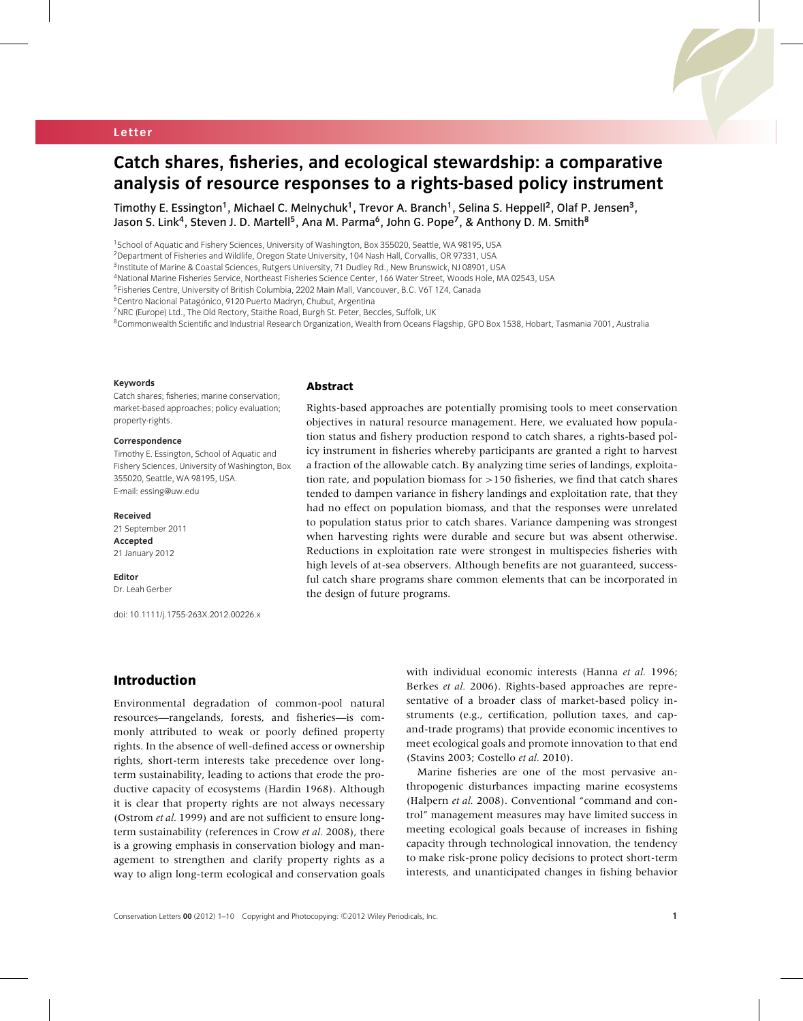# **Letter**

# **Catch shares, fisheries, and ecological stewardship: a comparative analysis of resource responses to a rights-based policy instrument**

Timothy E. Essington**<sup>1</sup>**, Michael C. Melnychuk**<sup>1</sup>**, Trevor A. Branch**<sup>1</sup>**, Selina S. Heppell**<sup>2</sup>**, Olaf P. Jensen**<sup>3</sup>**, Jason S. Link**<sup>4</sup>**, Steven J. D. Martell**<sup>5</sup>**, Ana M. Parma**<sup>6</sup>**, John G. Pope**<sup>7</sup>**, & Anthony D. M. Smith**<sup>8</sup>**

<sup>1</sup> School of Aquatic and Fishery Sciences, University of Washington, Box 355020, Seattle, WA 98195, USA

<sup>2</sup>Department of Fisheries and Wildlife, Oregon State University, 104 Nash Hall, Corvallis, OR 97331, USA

<sup>3</sup>Institute of Marine & Coastal Sciences, Rutgers University, 71 Dudley Rd., New Brunswick, NJ 08901, USA

4National Marine Fisheries Service, Northeast Fisheries Science Center, 166 Water Street, Woods Hole, MA 02543, USA

<sup>5</sup>Fisheries Centre, University of British Columbia, 2202 Main Mall, Vancouver, B.C. V6T 1Z4, Canada

<sup>6</sup>Centro Nacional Patagónico, 9120 Puerto Madryn, Chubut, Argentina

7NRC (Europe) Ltd., The Old Rectory, Staithe Road, Burgh St. Peter, Beccles, Suffolk, UK

8Commonwealth Scientific and Industrial Research Organization, Wealth from Oceans Flagship, GPO Box 1538, Hobart, Tasmania 7001, Australia

#### **Keywords**

Catch shares; fisheries; marine conservation; market-based approaches; policy evaluation; property-rights.

#### **Correspondence**

Timothy E. Essington, School of Aquatic and Fishery Sciences, University of Washington, Box 355020, Seattle, WA 98195, USA. E-mail: essing@uw.edu

#### **Received**

21 September 2011 **Accepted** 21 January 2012

#### **Editor**

Dr. Leah Gerber

doi: 10.1111/j.1755-263X.2012.00226.x

#### **Abstract**

Rights-based approaches are potentially promising tools to meet conservation objectives in natural resource management. Here, we evaluated how population status and fishery production respond to catch shares, a rights-based policy instrument in fisheries whereby participants are granted a right to harvest a fraction of the allowable catch. By analyzing time series of landings, exploitation rate, and population biomass for  $>150$  fisheries, we find that catch shares tended to dampen variance in fishery landings and exploitation rate, that they had no effect on population biomass, and that the responses were unrelated to population status prior to catch shares. Variance dampening was strongest when harvesting rights were durable and secure but was absent otherwise. Reductions in exploitation rate were strongest in multispecies fisheries with high levels of at-sea observers. Although benefits are not guaranteed, successful catch share programs share common elements that can be incorporated in the design of future programs.

### **Introduction**

Environmental degradation of common-pool natural resources—rangelands, forests, and fisheries—is commonly attributed to weak or poorly defined property rights. In the absence of well-defined access or ownership rights, short-term interests take precedence over longterm sustainability, leading to actions that erode the productive capacity of ecosystems (Hardin 1968). Although it is clear that property rights are not always necessary (Ostrom *et al.* 1999) and are not sufficient to ensure longterm sustainability (references in Crow *et al.* 2008), there is a growing emphasis in conservation biology and management to strengthen and clarify property rights as a way to align long-term ecological and conservation goals

with individual economic interests (Hanna *et al.* 1996; Berkes *et al.* 2006). Rights-based approaches are representative of a broader class of market-based policy instruments (e.g., certification, pollution taxes, and capand-trade programs) that provide economic incentives to meet ecological goals and promote innovation to that end (Stavins 2003; Costello *et al.* 2010).

Marine fisheries are one of the most pervasive anthropogenic disturbances impacting marine ecosystems (Halpern *et al.* 2008). Conventional "command and control" management measures may have limited success in meeting ecological goals because of increases in fishing capacity through technological innovation, the tendency to make risk-prone policy decisions to protect short-term interests, and unanticipated changes in fishing behavior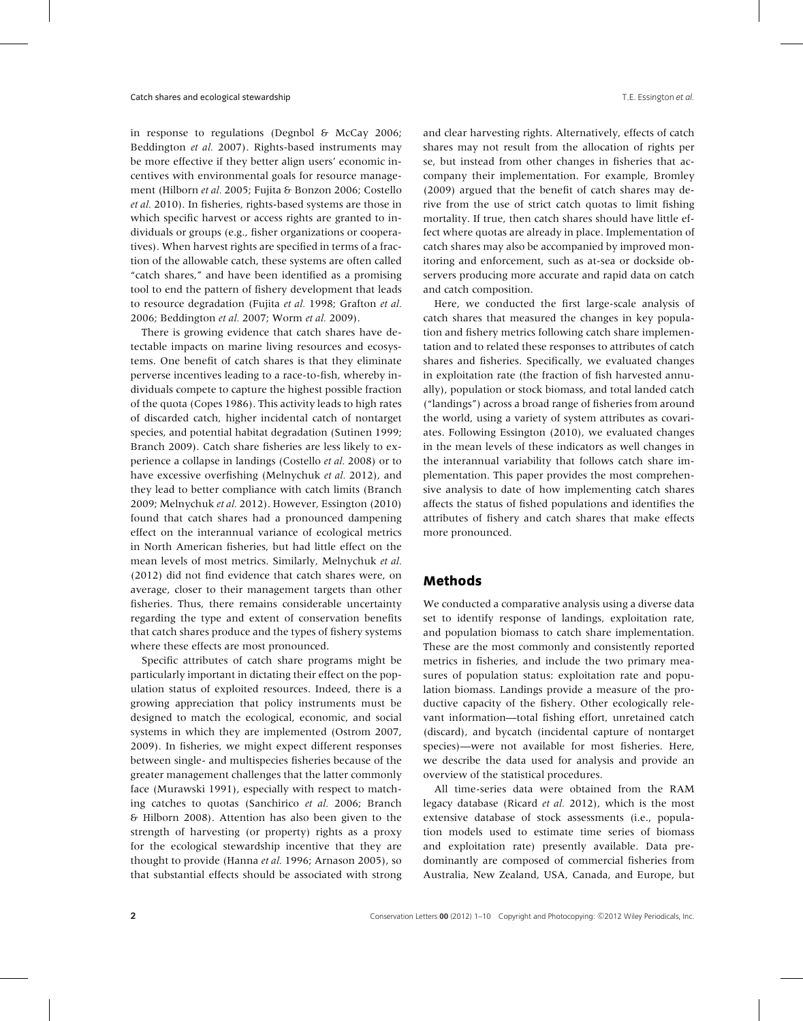in response to regulations (Degnbol & McCay 2006; Beddington *et al.* 2007). Rights-based instruments may be more effective if they better align users' economic incentives with environmental goals for resource management (Hilborn *et al.* 2005; Fujita & Bonzon 2006; Costello *et al.* 2010). In fisheries, rights-based systems are those in which specific harvest or access rights are granted to individuals or groups (e.g., fisher organizations or cooperatives). When harvest rights are specified in terms of a fraction of the allowable catch, these systems are often called "catch shares," and have been identified as a promising tool to end the pattern of fishery development that leads to resource degradation (Fujita *et al.* 1998; Grafton *et al.* 2006; Beddington *et al.* 2007; Worm *et al.* 2009).

There is growing evidence that catch shares have detectable impacts on marine living resources and ecosystems. One benefit of catch shares is that they eliminate perverse incentives leading to a race-to-fish, whereby individuals compete to capture the highest possible fraction of the quota (Copes 1986). This activity leads to high rates of discarded catch, higher incidental catch of nontarget species, and potential habitat degradation (Sutinen 1999; Branch 2009). Catch share fisheries are less likely to experience a collapse in landings (Costello *et al.* 2008) or to have excessive overfishing (Melnychuk *et al.* 2012), and they lead to better compliance with catch limits (Branch 2009; Melnychuk *et al.* 2012). However, Essington (2010) found that catch shares had a pronounced dampening effect on the interannual variance of ecological metrics in North American fisheries, but had little effect on the mean levels of most metrics. Similarly, Melnychuk *et al.* (2012) did not find evidence that catch shares were, on average, closer to their management targets than other fisheries. Thus, there remains considerable uncertainty regarding the type and extent of conservation benefits that catch shares produce and the types of fishery systems where these effects are most pronounced.

Specific attributes of catch share programs might be particularly important in dictating their effect on the population status of exploited resources. Indeed, there is a growing appreciation that policy instruments must be designed to match the ecological, economic, and social systems in which they are implemented (Ostrom 2007, 2009). In fisheries, we might expect different responses between single- and multispecies fisheries because of the greater management challenges that the latter commonly face (Murawski 1991), especially with respect to matching catches to quotas (Sanchirico *et al.* 2006; Branch & Hilborn 2008). Attention has also been given to the strength of harvesting (or property) rights as a proxy for the ecological stewardship incentive that they are thought to provide (Hanna *et al.* 1996; Arnason 2005), so that substantial effects should be associated with strong

and clear harvesting rights. Alternatively, effects of catch shares may not result from the allocation of rights per se, but instead from other changes in fisheries that accompany their implementation. For example, Bromley (2009) argued that the benefit of catch shares may derive from the use of strict catch quotas to limit fishing mortality. If true, then catch shares should have little effect where quotas are already in place. Implementation of catch shares may also be accompanied by improved monitoring and enforcement, such as at-sea or dockside observers producing more accurate and rapid data on catch and catch composition.

Here, we conducted the first large-scale analysis of catch shares that measured the changes in key population and fishery metrics following catch share implementation and to related these responses to attributes of catch shares and fisheries. Specifically, we evaluated changes in exploitation rate (the fraction of fish harvested annually), population or stock biomass, and total landed catch ("landings") across a broad range of fisheries from around the world, using a variety of system attributes as covariates. Following Essington (2010), we evaluated changes in the mean levels of these indicators as well changes in the interannual variability that follows catch share implementation. This paper provides the most comprehensive analysis to date of how implementing catch shares affects the status of fished populations and identifies the attributes of fishery and catch shares that make effects more pronounced.

### **Methods**

We conducted a comparative analysis using a diverse data set to identify response of landings, exploitation rate, and population biomass to catch share implementation. These are the most commonly and consistently reported metrics in fisheries, and include the two primary measures of population status: exploitation rate and population biomass. Landings provide a measure of the productive capacity of the fishery. Other ecologically relevant information—total fishing effort, unretained catch (discard), and bycatch (incidental capture of nontarget species)—were not available for most fisheries. Here, we describe the data used for analysis and provide an overview of the statistical procedures.

All time-series data were obtained from the RAM legacy database (Ricard *et al.* 2012), which is the most extensive database of stock assessments (i.e., population models used to estimate time series of biomass and exploitation rate) presently available. Data predominantly are composed of commercial fisheries from Australia, New Zealand, USA, Canada, and Europe, but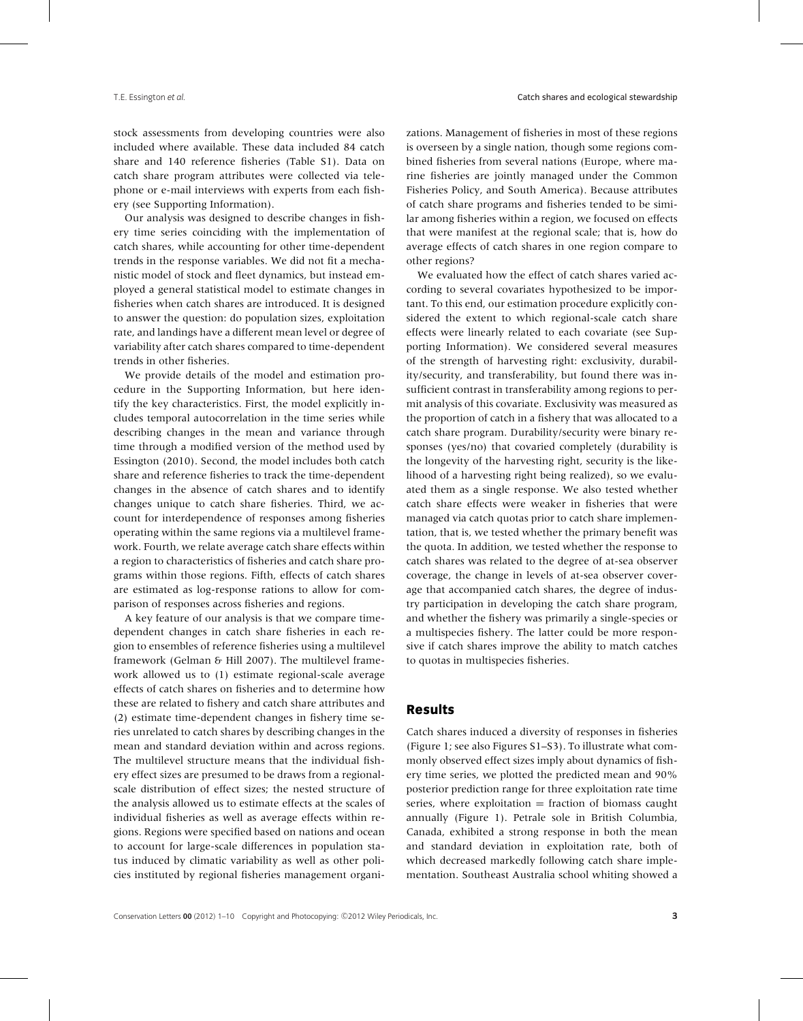T.E. Essington *et al.* Catch shares and ecological stewardship

stock assessments from developing countries were also included where available. These data included 84 catch share and 140 reference fisheries (Table S1). Data on catch share program attributes were collected via telephone or e-mail interviews with experts from each fishery (see Supporting Information).

Our analysis was designed to describe changes in fishery time series coinciding with the implementation of catch shares, while accounting for other time-dependent trends in the response variables. We did not fit a mechanistic model of stock and fleet dynamics, but instead employed a general statistical model to estimate changes in fisheries when catch shares are introduced. It is designed to answer the question: do population sizes, exploitation rate, and landings have a different mean level or degree of variability after catch shares compared to time-dependent trends in other fisheries.

We provide details of the model and estimation procedure in the Supporting Information, but here identify the key characteristics. First, the model explicitly includes temporal autocorrelation in the time series while describing changes in the mean and variance through time through a modified version of the method used by Essington (2010). Second, the model includes both catch share and reference fisheries to track the time-dependent changes in the absence of catch shares and to identify changes unique to catch share fisheries. Third, we account for interdependence of responses among fisheries operating within the same regions via a multilevel framework. Fourth, we relate average catch share effects within a region to characteristics of fisheries and catch share programs within those regions. Fifth, effects of catch shares are estimated as log-response rations to allow for comparison of responses across fisheries and regions.

A key feature of our analysis is that we compare timedependent changes in catch share fisheries in each region to ensembles of reference fisheries using a multilevel framework (Gelman & Hill 2007). The multilevel framework allowed us to (1) estimate regional-scale average effects of catch shares on fisheries and to determine how these are related to fishery and catch share attributes and (2) estimate time-dependent changes in fishery time series unrelated to catch shares by describing changes in the mean and standard deviation within and across regions. The multilevel structure means that the individual fishery effect sizes are presumed to be draws from a regionalscale distribution of effect sizes; the nested structure of the analysis allowed us to estimate effects at the scales of individual fisheries as well as average effects within regions. Regions were specified based on nations and ocean to account for large-scale differences in population status induced by climatic variability as well as other policies instituted by regional fisheries management organi-

zations. Management of fisheries in most of these regions is overseen by a single nation, though some regions combined fisheries from several nations (Europe, where marine fisheries are jointly managed under the Common Fisheries Policy, and South America). Because attributes of catch share programs and fisheries tended to be similar among fisheries within a region, we focused on effects that were manifest at the regional scale; that is, how do average effects of catch shares in one region compare to other regions?

We evaluated how the effect of catch shares varied according to several covariates hypothesized to be important. To this end, our estimation procedure explicitly considered the extent to which regional-scale catch share effects were linearly related to each covariate (see Supporting Information). We considered several measures of the strength of harvesting right: exclusivity, durability/security, and transferability, but found there was insufficient contrast in transferability among regions to permit analysis of this covariate. Exclusivity was measured as the proportion of catch in a fishery that was allocated to a catch share program. Durability/security were binary responses (yes/no) that covaried completely (durability is the longevity of the harvesting right, security is the likelihood of a harvesting right being realized), so we evaluated them as a single response. We also tested whether catch share effects were weaker in fisheries that were managed via catch quotas prior to catch share implementation, that is, we tested whether the primary benefit was the quota. In addition, we tested whether the response to catch shares was related to the degree of at-sea observer coverage, the change in levels of at-sea observer coverage that accompanied catch shares, the degree of industry participation in developing the catch share program, and whether the fishery was primarily a single-species or a multispecies fishery. The latter could be more responsive if catch shares improve the ability to match catches to quotas in multispecies fisheries.

### **Results**

Catch shares induced a diversity of responses in fisheries (Figure 1; see also Figures S1–S3). To illustrate what commonly observed effect sizes imply about dynamics of fishery time series, we plotted the predicted mean and 90% posterior prediction range for three exploitation rate time series, where exploitation  $=$  fraction of biomass caught annually (Figure 1). Petrale sole in British Columbia, Canada, exhibited a strong response in both the mean and standard deviation in exploitation rate, both of which decreased markedly following catch share implementation. Southeast Australia school whiting showed a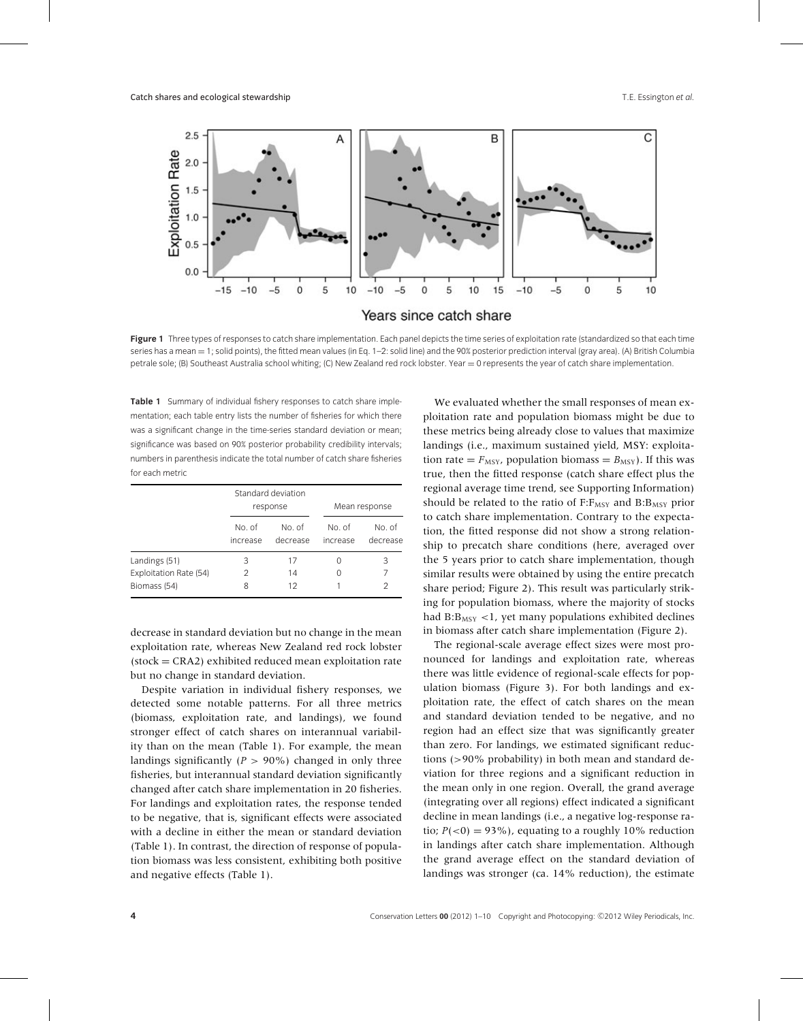

**Figure 1** Three types of responses to catch share implementation. Each panel depicts the time series of exploitation rate (standardized so that each time series has a mean = 1; solid points), the fitted mean values (in Eq. 1–2: solid line) and the 90% posterior prediction interval (gray area). (A) British Columbia petrale sole; (B) Southeast Australia school whiting; (C) New Zealand red rock lobster. Year = 0 represents the year of catch share implementation.

**Table 1** Summary of individual fishery responses to catch share implementation; each table entry lists the number of fisheries for which there was a significant change in the time-series standard deviation or mean; significance was based on 90% posterior probability credibility intervals; numbers in parenthesis indicate the total number of catch share fisheries for each metric

|                        |                    | Standard deviation<br>response | Mean response      |                    |  |
|------------------------|--------------------|--------------------------------|--------------------|--------------------|--|
|                        | No. of<br>increase | No. of<br>decrease             | No. of<br>increase | No. of<br>decrease |  |
| Landings (51)          | 3                  | 17                             |                    | 3                  |  |
| Exploitation Rate (54) | 2                  | 14                             | O                  | 7                  |  |
| Biomass (54)           | 8                  | 12                             |                    | $\mathfrak{D}$     |  |

decrease in standard deviation but no change in the mean exploitation rate, whereas New Zealand red rock lobster (stock = CRA2) exhibited reduced mean exploitation rate but no change in standard deviation.

Despite variation in individual fishery responses, we detected some notable patterns. For all three metrics (biomass, exploitation rate, and landings), we found stronger effect of catch shares on interannual variability than on the mean (Table 1). For example, the mean landings significantly  $(P > 90\%)$  changed in only three fisheries, but interannual standard deviation significantly changed after catch share implementation in 20 fisheries. For landings and exploitation rates, the response tended to be negative, that is, significant effects were associated with a decline in either the mean or standard deviation (Table 1). In contrast, the direction of response of population biomass was less consistent, exhibiting both positive and negative effects (Table 1).

We evaluated whether the small responses of mean exploitation rate and population biomass might be due to these metrics being already close to values that maximize landings (i.e., maximum sustained yield, MSY: exploitation rate =  $F_{\text{MSY}}$ , population biomass =  $B_{\text{MSY}}$ ). If this was true, then the fitted response (catch share effect plus the regional average time trend, see Supporting Information) should be related to the ratio of F:F<sub>MSY</sub> and B:B<sub>MSY</sub> prior to catch share implementation. Contrary to the expectation, the fitted response did not show a strong relationship to precatch share conditions (here, averaged over the 5 years prior to catch share implementation, though similar results were obtained by using the entire precatch share period; Figure 2). This result was particularly striking for population biomass, where the majority of stocks had  $B:B_{MSY}$  <1, yet many populations exhibited declines in biomass after catch share implementation (Figure 2).

The regional-scale average effect sizes were most pronounced for landings and exploitation rate, whereas there was little evidence of regional-scale effects for population biomass (Figure 3). For both landings and exploitation rate, the effect of catch shares on the mean and standard deviation tended to be negative, and no region had an effect size that was significantly greater than zero. For landings, we estimated significant reductions (>90% probability) in both mean and standard deviation for three regions and a significant reduction in the mean only in one region. Overall, the grand average (integrating over all regions) effect indicated a significant decline in mean landings (i.e., a negative log-response ratio;  $P(<sub>0</sub>) = 93\%)$ , equating to a roughly 10% reduction in landings after catch share implementation. Although the grand average effect on the standard deviation of landings was stronger (ca. 14% reduction), the estimate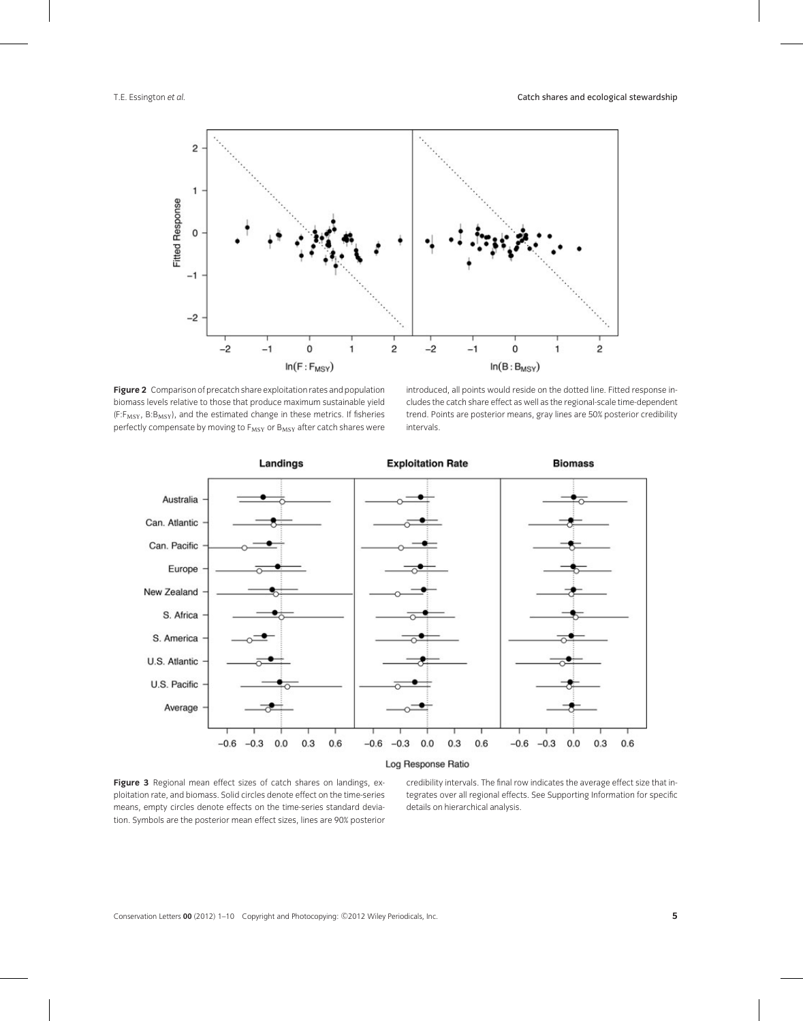

**Figure 2** Comparison of precatch share exploitation rates and population biomass levels relative to those that produce maximum sustainable yield (F:F<sub>MSY</sub>, B:B<sub>MSY</sub>), and the estimated change in these metrics. If fisheries perfectly compensate by moving to  $F_{MSY}$  or  $B_{MSY}$  after catch shares were

introduced, all points would reside on the dotted line. Fitted response includes the catch share effect as well as the regional-scale time-dependent trend. Points are posterior means, gray lines are 50% posterior credibility intervals.



**Figure 3** Regional mean effect sizes of catch shares on landings, exploitation rate, and biomass. Solid circles denote effect on the time-series means, empty circles denote effects on the time-series standard deviation. Symbols are the posterior mean effect sizes, lines are 90% posterior

credibility intervals. The final row indicates the average effect size that integrates over all regional effects. See Supporting Information for specific details on hierarchical analysis.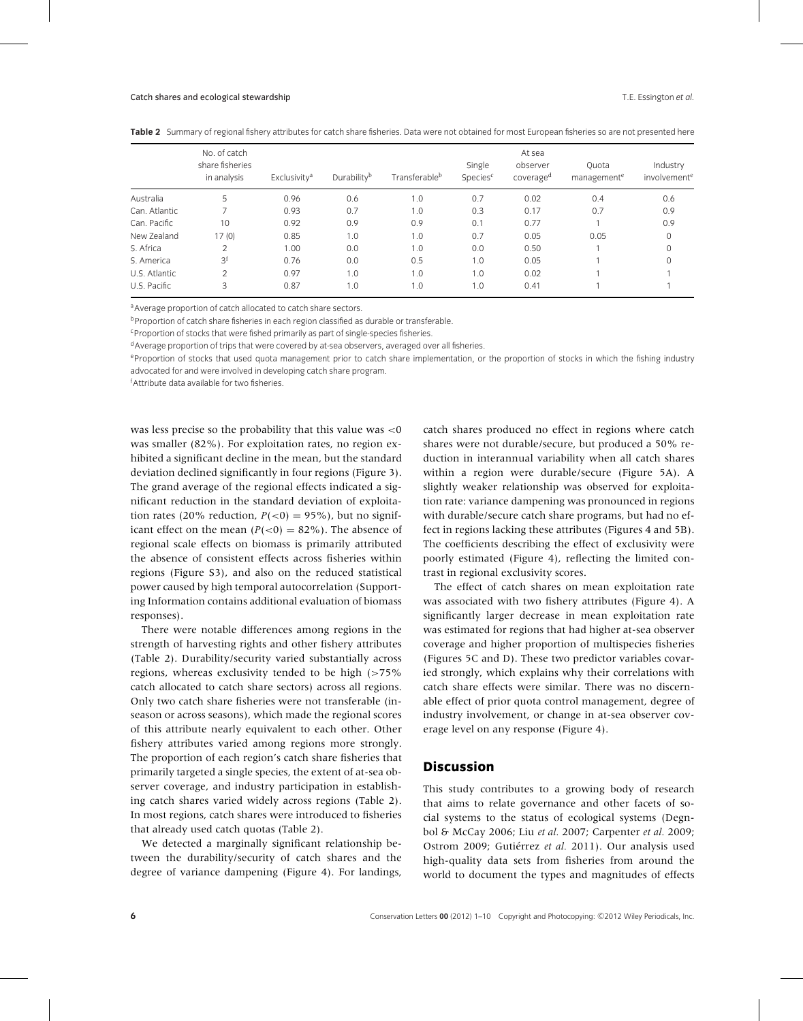**Table 2** Summary of regional fishery attributes for catch share fisheries. Data were not obtained for most European fisheries so are not presented here

|               | No. of catch<br>share fisheries<br>in analysis | Exclusivitv <sup>a</sup> | Durability <sup>b</sup> | Transferableb | Single<br>Species <sup>c</sup> | At sea<br>observer<br>coverage <sup>d</sup> | Ouota<br>management <sup>e</sup> | Industry<br>involvement <sup>e</sup> |
|---------------|------------------------------------------------|--------------------------|-------------------------|---------------|--------------------------------|---------------------------------------------|----------------------------------|--------------------------------------|
| Australia     | 5                                              | 0.96                     | 0.6                     | 1.0           | 0.7                            | 0.02                                        | 0.4                              | 0.6                                  |
| Can. Atlantic |                                                | 0.93                     | 0.7                     | 1.0           | 0.3                            | 0.17                                        | 0.7                              | 0.9                                  |
| Can. Pacific  | 10                                             | 0.92                     | 0.9                     | 0.9           | 0.1                            | 0.77                                        |                                  | 0.9                                  |
| New Zealand   | 17(0)                                          | 0.85                     | 1.0                     | 1.0           | 0.7                            | 0.05                                        | 0.05                             | 0                                    |
| S. Africa     | $\overline{2}$                                 | 1.00                     | 0.0                     | 1.0           | 0.0                            | 0.50                                        |                                  | $\Omega$                             |
| S. America    | 3 <sup>f</sup>                                 | 0.76                     | 0.0                     | 0.5           | 1.0                            | 0.05                                        |                                  | 0                                    |
| U.S. Atlantic | $\overline{2}$                                 | 0.97                     | 1.0                     | 1.0           | 1.0                            | 0.02                                        |                                  |                                      |
| U.S. Pacific  | 3                                              | 0.87                     | 1.0                     | 1.0           | 1.0                            | 0.41                                        |                                  |                                      |

a Average proportion of catch allocated to catch share sectors.

*b***Proportion of catch share fisheries in each region classified as durable or transferable.** 

cProportion of stocks that were fished primarily as part of single-species fisheries.

<sup>d</sup>Average proportion of trips that were covered by at-sea observers, averaged over all fisheries.

eProportion of stocks that used quota management prior to catch share implementation, or the proportion of stocks in which the fishing industry advocated for and were involved in developing catch share program.

f Attribute data available for two fisheries.

was less precise so the probability that this value was  $<$ 0 was smaller (82%). For exploitation rates, no region exhibited a significant decline in the mean, but the standard deviation declined significantly in four regions (Figure 3). The grand average of the regional effects indicated a significant reduction in the standard deviation of exploitation rates (20% reduction,  $P(<sub>0</sub>) = 95$ %), but no significant effect on the mean  $(P( $0$ ) = 82%)$ . The absence of regional scale effects on biomass is primarily attributed the absence of consistent effects across fisheries within regions (Figure S3), and also on the reduced statistical power caused by high temporal autocorrelation (Supporting Information contains additional evaluation of biomass responses).

There were notable differences among regions in the strength of harvesting rights and other fishery attributes (Table 2). Durability/security varied substantially across regions, whereas exclusivity tended to be high (>75% catch allocated to catch share sectors) across all regions. Only two catch share fisheries were not transferable (inseason or across seasons), which made the regional scores of this attribute nearly equivalent to each other. Other fishery attributes varied among regions more strongly. The proportion of each region's catch share fisheries that primarily targeted a single species, the extent of at-sea observer coverage, and industry participation in establishing catch shares varied widely across regions (Table 2). In most regions, catch shares were introduced to fisheries that already used catch quotas (Table 2).

We detected a marginally significant relationship between the durability/security of catch shares and the degree of variance dampening (Figure 4). For landings,

catch shares produced no effect in regions where catch shares were not durable/secure, but produced a 50% reduction in interannual variability when all catch shares within a region were durable/secure (Figure 5A). A slightly weaker relationship was observed for exploitation rate: variance dampening was pronounced in regions with durable/secure catch share programs, but had no effect in regions lacking these attributes (Figures 4 and 5B). The coefficients describing the effect of exclusivity were poorly estimated (Figure 4), reflecting the limited contrast in regional exclusivity scores.

The effect of catch shares on mean exploitation rate was associated with two fishery attributes (Figure 4). A significantly larger decrease in mean exploitation rate was estimated for regions that had higher at-sea observer coverage and higher proportion of multispecies fisheries (Figures 5C and D). These two predictor variables covaried strongly, which explains why their correlations with catch share effects were similar. There was no discernable effect of prior quota control management, degree of industry involvement, or change in at-sea observer coverage level on any response (Figure 4).

### **Discussion**

This study contributes to a growing body of research that aims to relate governance and other facets of social systems to the status of ecological systems (Degnbol & McCay 2006; Liu *et al.* 2007; Carpenter *et al.* 2009; Ostrom 2009; Gutiérrez et al. 2011). Our analysis used high-quality data sets from fisheries from around the world to document the types and magnitudes of effects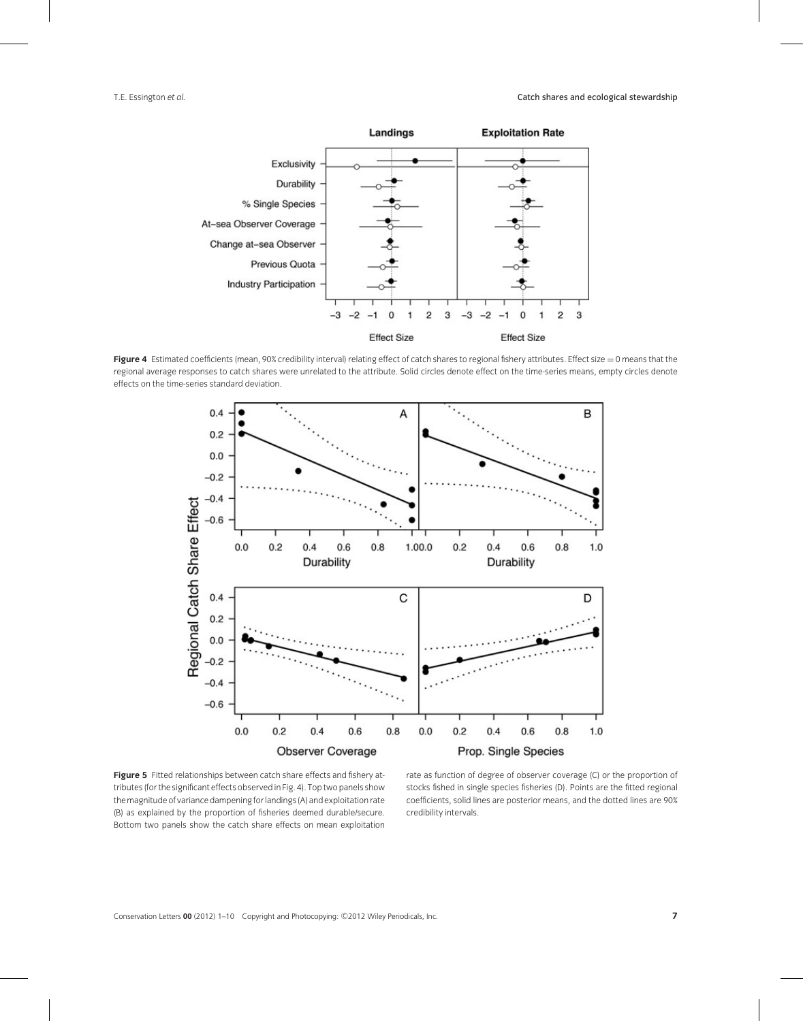

Figure 4 Estimated coefficients (mean, 90% credibility interval) relating effect of catch shares to regional fishery attributes. Effect size = 0 means that the regional average responses to catch shares were unrelated to the attribute. Solid circles denote effect on the time-series means, empty circles denote effects on the time-series standard deviation.



**Figure 5** Fitted relationships between catch share effects and fishery attributes (for the significant effects observed in Fig. 4). Top two panels show themagnitude of variance dampeningfor landings(A) and exploitation rate (B) as explained by the proportion of fisheries deemed durable/secure. Bottom two panels show the catch share effects on mean exploitation

rate as function of degree of observer coverage (C) or the proportion of stocks fished in single species fisheries (D). Points are the fitted regional coefficients, solid lines are posterior means, and the dotted lines are 90% credibility intervals.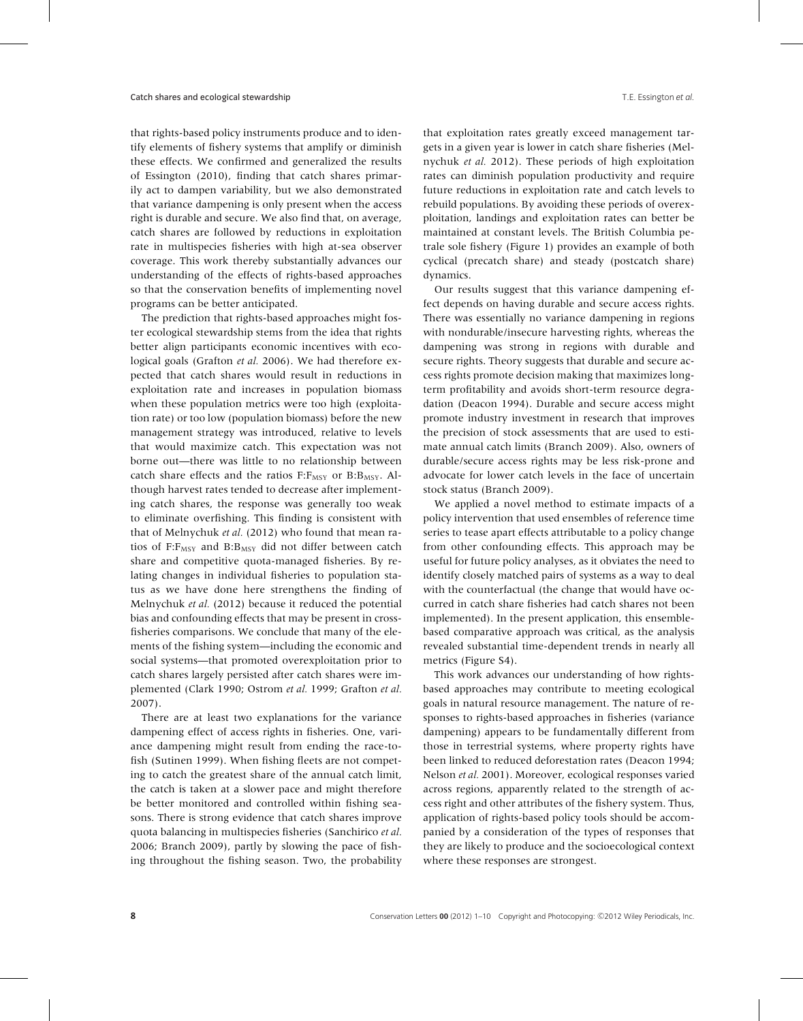that rights-based policy instruments produce and to identify elements of fishery systems that amplify or diminish these effects. We confirmed and generalized the results of Essington (2010), finding that catch shares primarily act to dampen variability, but we also demonstrated that variance dampening is only present when the access right is durable and secure. We also find that, on average, catch shares are followed by reductions in exploitation rate in multispecies fisheries with high at-sea observer coverage. This work thereby substantially advances our understanding of the effects of rights-based approaches so that the conservation benefits of implementing novel programs can be better anticipated.

The prediction that rights-based approaches might foster ecological stewardship stems from the idea that rights better align participants economic incentives with ecological goals (Grafton *et al.* 2006). We had therefore expected that catch shares would result in reductions in exploitation rate and increases in population biomass when these population metrics were too high (exploitation rate) or too low (population biomass) before the new management strategy was introduced, relative to levels that would maximize catch. This expectation was not borne out—there was little to no relationship between catch share effects and the ratios  $F: F_{MSY}$  or  $B:B_{MSY}$ . Although harvest rates tended to decrease after implementing catch shares, the response was generally too weak to eliminate overfishing. This finding is consistent with that of Melnychuk *et al.* (2012) who found that mean ratios of F: $F_{MSY}$  and B: $B_{MSY}$  did not differ between catch share and competitive quota-managed fisheries. By relating changes in individual fisheries to population status as we have done here strengthens the finding of Melnychuk *et al.* (2012) because it reduced the potential bias and confounding effects that may be present in crossfisheries comparisons. We conclude that many of the elements of the fishing system—including the economic and social systems—that promoted overexploitation prior to catch shares largely persisted after catch shares were implemented (Clark 1990; Ostrom *et al.* 1999; Grafton *et al.* 2007).

There are at least two explanations for the variance dampening effect of access rights in fisheries. One, variance dampening might result from ending the race-tofish (Sutinen 1999). When fishing fleets are not competing to catch the greatest share of the annual catch limit, the catch is taken at a slower pace and might therefore be better monitored and controlled within fishing seasons. There is strong evidence that catch shares improve quota balancing in multispecies fisheries (Sanchirico *et al.* 2006; Branch 2009), partly by slowing the pace of fishing throughout the fishing season. Two, the probability

that exploitation rates greatly exceed management targets in a given year is lower in catch share fisheries (Melnychuk *et al.* 2012). These periods of high exploitation rates can diminish population productivity and require future reductions in exploitation rate and catch levels to rebuild populations. By avoiding these periods of overexploitation, landings and exploitation rates can better be maintained at constant levels. The British Columbia petrale sole fishery (Figure 1) provides an example of both cyclical (precatch share) and steady (postcatch share) dynamics.

Our results suggest that this variance dampening effect depends on having durable and secure access rights. There was essentially no variance dampening in regions with nondurable/insecure harvesting rights, whereas the dampening was strong in regions with durable and secure rights. Theory suggests that durable and secure access rights promote decision making that maximizes longterm profitability and avoids short-term resource degradation (Deacon 1994). Durable and secure access might promote industry investment in research that improves the precision of stock assessments that are used to estimate annual catch limits (Branch 2009). Also, owners of durable/secure access rights may be less risk-prone and advocate for lower catch levels in the face of uncertain stock status (Branch 2009).

We applied a novel method to estimate impacts of a policy intervention that used ensembles of reference time series to tease apart effects attributable to a policy change from other confounding effects. This approach may be useful for future policy analyses, as it obviates the need to identify closely matched pairs of systems as a way to deal with the counterfactual (the change that would have occurred in catch share fisheries had catch shares not been implemented). In the present application, this ensemblebased comparative approach was critical, as the analysis revealed substantial time-dependent trends in nearly all metrics (Figure S4).

This work advances our understanding of how rightsbased approaches may contribute to meeting ecological goals in natural resource management. The nature of responses to rights-based approaches in fisheries (variance dampening) appears to be fundamentally different from those in terrestrial systems, where property rights have been linked to reduced deforestation rates (Deacon 1994; Nelson *et al.* 2001). Moreover, ecological responses varied across regions, apparently related to the strength of access right and other attributes of the fishery system. Thus, application of rights-based policy tools should be accompanied by a consideration of the types of responses that they are likely to produce and the socioecological context where these responses are strongest.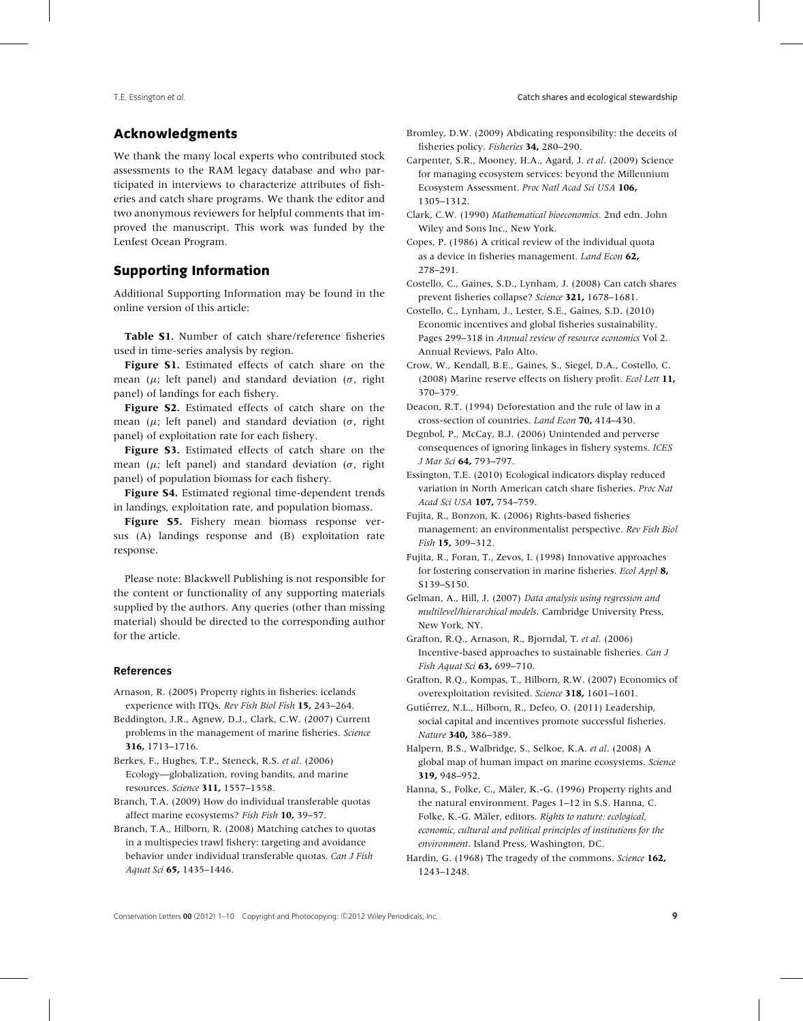# **Acknowledgments**

We thank the many local experts who contributed stock assessments to the RAM legacy database and who participated in interviews to characterize attributes of fisheries and catch share programs. We thank the editor and two anonymous reviewers for helpful comments that improved the manuscript. This work was funded by the Lenfest Ocean Program.

# **Supporting Information**

Additional Supporting Information may be found in the online version of this article:

**Table S1.** Number of catch share/reference fisheries used in time-series analysis by region.

Figure S1. Estimated effects of catch share on the mean ( $\mu$ ; left panel) and standard deviation ( $\sigma$ , right panel) of landings for each fishery.

**Figure S2.** Estimated effects of catch share on the mean ( $\mu$ ; left panel) and standard deviation ( $\sigma$ , right panel) of exploitation rate for each fishery.

**Figure S3.** Estimated effects of catch share on the mean ( $\mu$ ; left panel) and standard deviation ( $\sigma$ , right panel) of population biomass for each fishery.

**Figure S4.** Estimated regional time-dependent trends in landings, exploitation rate, and population biomass.

**Figure S5.** Fishery mean biomass response versus (A) landings response and (B) exploitation rate response.

Please note: Blackwell Publishing is not responsible for the content or functionality of any supporting materials supplied by the authors. Any queries (other than missing material) should be directed to the corresponding author for the article.

#### **References**

- Arnason, R. (2005) Property rights in fisheries: icelands experience with ITQs. *Rev Fish Biol Fish* **15,** 243–264.
- Beddington, J.R., Agnew, D.J., Clark, C.W. (2007) Current problems in the management of marine fisheries. *Science* **316,** 1713–1716.

Berkes, F., Hughes, T.P., Steneck, R.S. *et al*. (2006) Ecology—globalization, roving bandits, and marine resources. *Science* **311,** 1557–1558.

Branch, T.A. (2009) How do individual transferable quotas affect marine ecosystems? *Fish Fish* **10,** 39–57.

Branch, T.A., Hilborn, R. (2008) Matching catches to quotas in a multispecies trawl fishery: targeting and avoidance behavior under individual transferable quotas. *Can J Fish Aquat Sci* **65,** 1435–1446.

Carpenter, S.R., Mooney, H.A., Agard, J. *et al*. (2009) Science for managing ecosystem services: beyond the Millennium Ecosystem Assessment. *Proc Natl Acad Sci USA* **106,** 1305–1312.

Clark, C.W. (1990) *Mathematical bioeconomics*. 2nd edn. John Wiley and Sons Inc., New York.

Copes, P. (1986) A critical review of the individual quota as a device in fisheries management. *Land Econ* **62,** 278–291.

Costello, C., Gaines, S.D., Lynham, J. (2008) Can catch shares prevent fisheries collapse? *Science* **321,** 1678–1681.

Costello, C., Lynham, J., Lester, S.E., Gaines, S.D. (2010) Economic incentives and global fisheries sustainability. Pages 299–318 in *Annual review of resource economics* Vol 2. Annual Reviews, Palo Alto.

Crow, W., Kendall, B.E., Gaines, S., Siegel, D.A., Costello, C. (2008) Marine reserve effects on fishery profit. *Ecol Lett* **11,** 370–379.

Deacon, R.T. (1994) Deforestation and the rule of law in a cross-section of countries. *Land Econ* **70,** 414–430.

Degnbol, P., McCay, B.J. (2006) Unintended and perverse consequences of ignoring linkages in fishery systems. *ICES J Mar Sci* **64,** 793–797.

Essington, T.E. (2010) Ecological indicators display reduced variation in North American catch share fisheries. *Proc Nat Acad Sci USA* **107,** 754–759.

Fujita, R., Bonzon, K. (2006) Rights-based fisheries management: an environmentalist perspective. *Rev Fish Biol Fish* **15,** 309–312.

Fujita, R., Foran, T., Zevos, I. (1998) Innovative approaches for fostering conservation in marine fisheries. *Ecol Appl* **8,** S139–S150.

Gelman, A., Hill, J. (2007) *Data analysis using regression and multilevel/hierarchical models*. Cambridge University Press, New York, NY.

Grafton, R.Q., Arnason, R., Bjorndal, T. *et al*. (2006) Incentive-based approaches to sustainable fisheries. *Can J Fish Aquat Sci* **63,** 699–710.

Grafton, R.Q., Kompas, T., Hilborn, R.W. (2007) Economics of overexploitation revisited. *Science* **318,** 1601–1601.

Gutiérrez, N.L., Hilborn, R., Defeo, O. (2011) Leadership, social capital and incentives promote successful fisheries. *Nature* **340,** 386–389.

Halpern, B.S., Walbridge, S., Selkoe, K.A. *et al*. (2008) A global map of human impact on marine ecosystems. *Science* **319,** 948–952.

Hanna, S., Folke, C., Mäler, K.-G. (1996) Property rights and the natural environment. Pages 1–12 in S.S. Hanna, C. Folke, K.-G. Mäler, editors. Rights to nature: ecological, *economic, cultural and political principles of institutions for the environment*. Island Press, Washington, DC.

Hardin, G. (1968) The tragedy of the commons. *Science* **162,** 1243–1248.